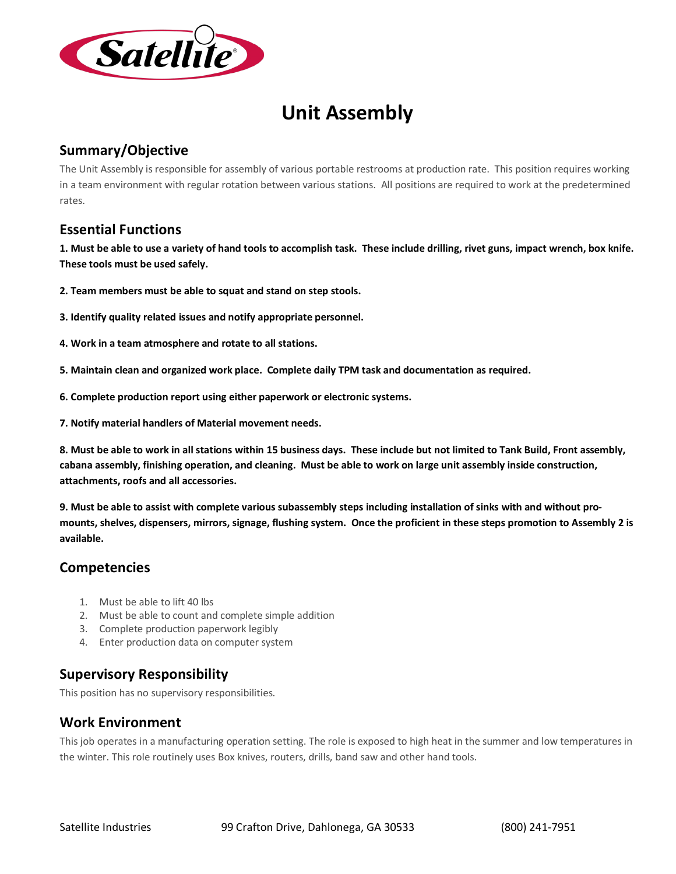

# **Unit Assembly**

# **Summary/Objective**

The Unit Assembly is responsible for assembly of various portable restrooms at production rate. This position requires working in a team environment with regular rotation between various stations. All positions are required to work at the predetermined rates.

### **Essential Functions**

**1. Must be able to use a variety of hand tools to accomplish task. These include drilling, rivet guns, impact wrench, box knife. These tools must be used safely.** 

- **2. Team members must be able to squat and stand on step stools.**
- **3. Identify quality related issues and notify appropriate personnel.**
- **4. Work in a team atmosphere and rotate to all stations.**
- **5. Maintain clean and organized work place. Complete daily TPM task and documentation as required.**
- **6. Complete production report using either paperwork or electronic systems.**
- **7. Notify material handlers of Material movement needs.**

**8. Must be able to work in all stations within 15 business days. These include but not limited to Tank Build, Front assembly, cabana assembly, finishing operation, and cleaning. Must be able to work on large unit assembly inside construction, attachments, roofs and all accessories.** 

**9. Must be able to assist with complete various subassembly steps including installation of sinks with and without promounts, shelves, dispensers, mirrors, signage, flushing system. Once the proficient in these steps promotion to Assembly 2 is available.** 

#### **Competencies**

- 1. Must be able to lift 40 lbs
- 2. Must be able to count and complete simple addition
- 3. Complete production paperwork legibly
- 4. Enter production data on computer system

# **Supervisory Responsibility**

This position has no supervisory responsibilities.

# **Work Environment**

This job operates in a manufacturing operation setting. The role is exposed to high heat in the summer and low temperatures in the winter. This role routinely uses Box knives, routers, drills, band saw and other hand tools.